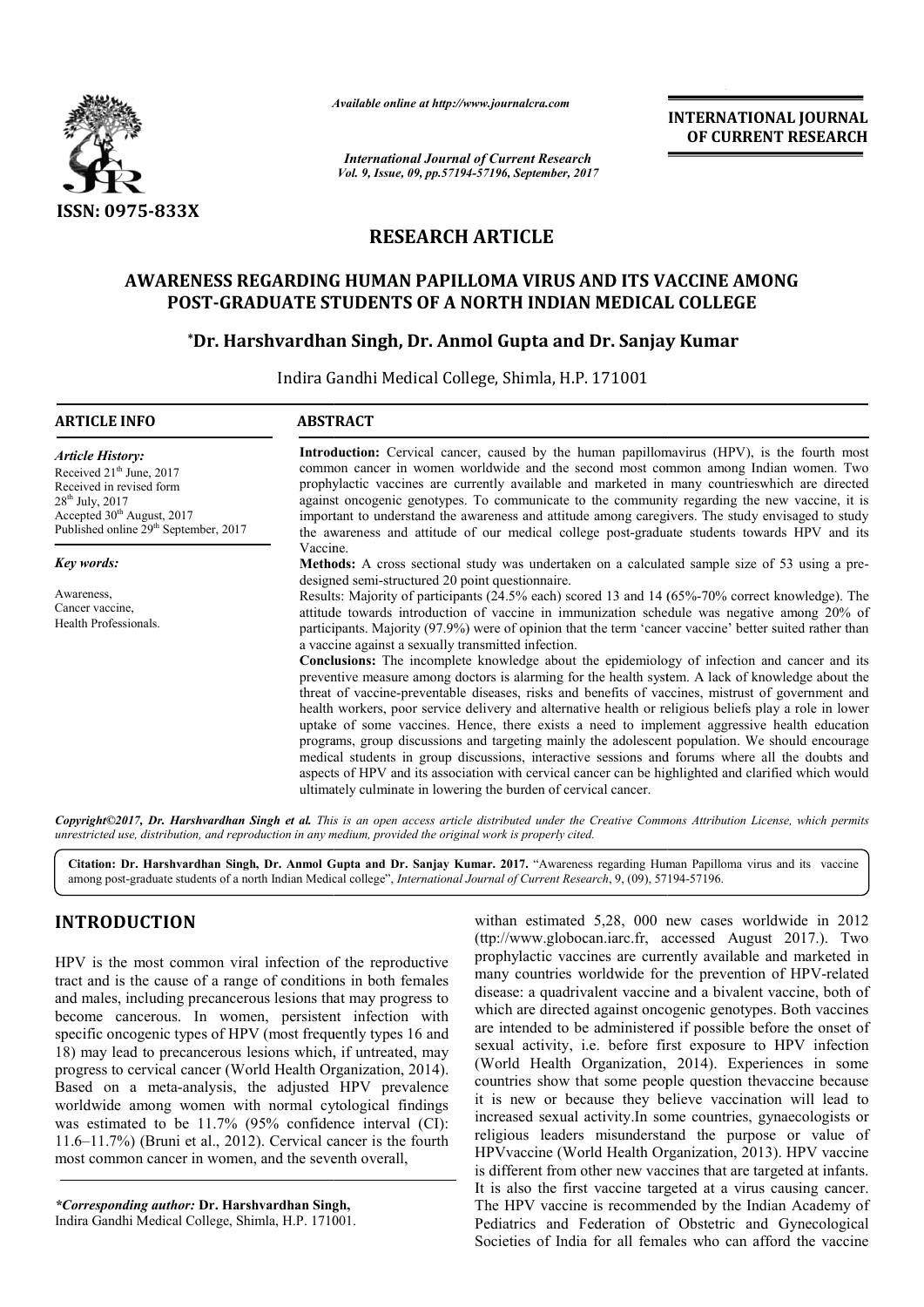

*Available online at http://www.journal http://www.journalcra.com*

## **RESEARCH ARTICLE**

## **AWARENESS REGARDING HUMAN PAPILLOMA VIRUS AND ITS VACCINE AMONG POST-GRADUATE STUDENTS OF A NORTH INDIAN MEDICAL COLLEGE STUDENTS OF COLLEGE**

# **)ST-GRADUATE STUDENTS OF A NORTH INDIAN MEDICAL COLLE(<br>\*Dr. Harshvardhan Singh, Dr. Anmol Gupta and Dr. Sanjay Kumar**

|                                                                                                                                                                                                                                                                                                                                                                                                                                                                                                                                                                                                                                                                                                                                                                                                                                                                                     | атишно опине и пир.//www.journucru.com                                                                                                                                                                                                                                                                                                                                                                                                                                                                                                                                                                                                                                                                                                                                                                                                                                                                                                                                                                                                                                                                                                                                                                                                                                                                                                                                                                                                                                                                                                                                                                                                                                                                                                                                                                                                                                                                                                                                                                                                   |                                                                                                        | <b>INTERNATIONAL JOURNAL</b><br>OF CURRENT RESEARCH                                                                                                                                                                                                                                                                                                                                                                                                                                                                                                                                                                                                                                                                                                                                                                                                                                                                                                                                                                                                                                                                     |
|-------------------------------------------------------------------------------------------------------------------------------------------------------------------------------------------------------------------------------------------------------------------------------------------------------------------------------------------------------------------------------------------------------------------------------------------------------------------------------------------------------------------------------------------------------------------------------------------------------------------------------------------------------------------------------------------------------------------------------------------------------------------------------------------------------------------------------------------------------------------------------------|------------------------------------------------------------------------------------------------------------------------------------------------------------------------------------------------------------------------------------------------------------------------------------------------------------------------------------------------------------------------------------------------------------------------------------------------------------------------------------------------------------------------------------------------------------------------------------------------------------------------------------------------------------------------------------------------------------------------------------------------------------------------------------------------------------------------------------------------------------------------------------------------------------------------------------------------------------------------------------------------------------------------------------------------------------------------------------------------------------------------------------------------------------------------------------------------------------------------------------------------------------------------------------------------------------------------------------------------------------------------------------------------------------------------------------------------------------------------------------------------------------------------------------------------------------------------------------------------------------------------------------------------------------------------------------------------------------------------------------------------------------------------------------------------------------------------------------------------------------------------------------------------------------------------------------------------------------------------------------------------------------------------------------------|--------------------------------------------------------------------------------------------------------|-------------------------------------------------------------------------------------------------------------------------------------------------------------------------------------------------------------------------------------------------------------------------------------------------------------------------------------------------------------------------------------------------------------------------------------------------------------------------------------------------------------------------------------------------------------------------------------------------------------------------------------------------------------------------------------------------------------------------------------------------------------------------------------------------------------------------------------------------------------------------------------------------------------------------------------------------------------------------------------------------------------------------------------------------------------------------------------------------------------------------|
|                                                                                                                                                                                                                                                                                                                                                                                                                                                                                                                                                                                                                                                                                                                                                                                                                                                                                     |                                                                                                                                                                                                                                                                                                                                                                                                                                                                                                                                                                                                                                                                                                                                                                                                                                                                                                                                                                                                                                                                                                                                                                                                                                                                                                                                                                                                                                                                                                                                                                                                                                                                                                                                                                                                                                                                                                                                                                                                                                          | <b>International Journal of Current Research</b><br>Vol. 9, Issue, 09, pp.57194-57196, September, 2017 |                                                                                                                                                                                                                                                                                                                                                                                                                                                                                                                                                                                                                                                                                                                                                                                                                                                                                                                                                                                                                                                                                                                         |
| ISSN: 0975-833X                                                                                                                                                                                                                                                                                                                                                                                                                                                                                                                                                                                                                                                                                                                                                                                                                                                                     |                                                                                                                                                                                                                                                                                                                                                                                                                                                                                                                                                                                                                                                                                                                                                                                                                                                                                                                                                                                                                                                                                                                                                                                                                                                                                                                                                                                                                                                                                                                                                                                                                                                                                                                                                                                                                                                                                                                                                                                                                                          |                                                                                                        |                                                                                                                                                                                                                                                                                                                                                                                                                                                                                                                                                                                                                                                                                                                                                                                                                                                                                                                                                                                                                                                                                                                         |
|                                                                                                                                                                                                                                                                                                                                                                                                                                                                                                                                                                                                                                                                                                                                                                                                                                                                                     | <b>RESEARCH ARTICLE</b>                                                                                                                                                                                                                                                                                                                                                                                                                                                                                                                                                                                                                                                                                                                                                                                                                                                                                                                                                                                                                                                                                                                                                                                                                                                                                                                                                                                                                                                                                                                                                                                                                                                                                                                                                                                                                                                                                                                                                                                                                  |                                                                                                        |                                                                                                                                                                                                                                                                                                                                                                                                                                                                                                                                                                                                                                                                                                                                                                                                                                                                                                                                                                                                                                                                                                                         |
|                                                                                                                                                                                                                                                                                                                                                                                                                                                                                                                                                                                                                                                                                                                                                                                                                                                                                     | AWARENESS REGARDING HUMAN PAPILLOMA VIRUS AND ITS VACCINE AMONG                                                                                                                                                                                                                                                                                                                                                                                                                                                                                                                                                                                                                                                                                                                                                                                                                                                                                                                                                                                                                                                                                                                                                                                                                                                                                                                                                                                                                                                                                                                                                                                                                                                                                                                                                                                                                                                                                                                                                                          |                                                                                                        |                                                                                                                                                                                                                                                                                                                                                                                                                                                                                                                                                                                                                                                                                                                                                                                                                                                                                                                                                                                                                                                                                                                         |
|                                                                                                                                                                                                                                                                                                                                                                                                                                                                                                                                                                                                                                                                                                                                                                                                                                                                                     | <b>POST-GRADUATE STUDENTS OF A NORTH INDIAN MEDICAL COLLEGE</b>                                                                                                                                                                                                                                                                                                                                                                                                                                                                                                                                                                                                                                                                                                                                                                                                                                                                                                                                                                                                                                                                                                                                                                                                                                                                                                                                                                                                                                                                                                                                                                                                                                                                                                                                                                                                                                                                                                                                                                          |                                                                                                        |                                                                                                                                                                                                                                                                                                                                                                                                                                                                                                                                                                                                                                                                                                                                                                                                                                                                                                                                                                                                                                                                                                                         |
|                                                                                                                                                                                                                                                                                                                                                                                                                                                                                                                                                                                                                                                                                                                                                                                                                                                                                     | *Dr. Harshvardhan Singh, Dr. Anmol Gupta and Dr. Sanjay Kumar                                                                                                                                                                                                                                                                                                                                                                                                                                                                                                                                                                                                                                                                                                                                                                                                                                                                                                                                                                                                                                                                                                                                                                                                                                                                                                                                                                                                                                                                                                                                                                                                                                                                                                                                                                                                                                                                                                                                                                            |                                                                                                        |                                                                                                                                                                                                                                                                                                                                                                                                                                                                                                                                                                                                                                                                                                                                                                                                                                                                                                                                                                                                                                                                                                                         |
|                                                                                                                                                                                                                                                                                                                                                                                                                                                                                                                                                                                                                                                                                                                                                                                                                                                                                     |                                                                                                                                                                                                                                                                                                                                                                                                                                                                                                                                                                                                                                                                                                                                                                                                                                                                                                                                                                                                                                                                                                                                                                                                                                                                                                                                                                                                                                                                                                                                                                                                                                                                                                                                                                                                                                                                                                                                                                                                                                          |                                                                                                        |                                                                                                                                                                                                                                                                                                                                                                                                                                                                                                                                                                                                                                                                                                                                                                                                                                                                                                                                                                                                                                                                                                                         |
|                                                                                                                                                                                                                                                                                                                                                                                                                                                                                                                                                                                                                                                                                                                                                                                                                                                                                     | Indira Gandhi Medical College, Shimla, H.P. 171001                                                                                                                                                                                                                                                                                                                                                                                                                                                                                                                                                                                                                                                                                                                                                                                                                                                                                                                                                                                                                                                                                                                                                                                                                                                                                                                                                                                                                                                                                                                                                                                                                                                                                                                                                                                                                                                                                                                                                                                       |                                                                                                        |                                                                                                                                                                                                                                                                                                                                                                                                                                                                                                                                                                                                                                                                                                                                                                                                                                                                                                                                                                                                                                                                                                                         |
| <b>ARTICLE INFO</b>                                                                                                                                                                                                                                                                                                                                                                                                                                                                                                                                                                                                                                                                                                                                                                                                                                                                 | <b>ABSTRACT</b>                                                                                                                                                                                                                                                                                                                                                                                                                                                                                                                                                                                                                                                                                                                                                                                                                                                                                                                                                                                                                                                                                                                                                                                                                                                                                                                                                                                                                                                                                                                                                                                                                                                                                                                                                                                                                                                                                                                                                                                                                          |                                                                                                        |                                                                                                                                                                                                                                                                                                                                                                                                                                                                                                                                                                                                                                                                                                                                                                                                                                                                                                                                                                                                                                                                                                                         |
| <b>Article History:</b><br>Received 21 <sup>th</sup> June, 2017<br>Received in revised form<br>28 <sup>th</sup> July, 2017<br>Accepted 30 <sup>th</sup> August, 2017<br>Published online 29 <sup>th</sup> September, 2017                                                                                                                                                                                                                                                                                                                                                                                                                                                                                                                                                                                                                                                           | Introduction: Cervical cancer, caused by the human papillomavirus (HPV), is the fourth most<br>common cancer in women worldwide and the second most common among Indian women. Two<br>prophylactic vaccines are currently available and marketed in many countries which are directed<br>against oncogenic genotypes. To communicate to the community regarding the new vaccine, it is<br>important to understand the awareness and attitude among caregivers. The study envisaged to study<br>the awareness and attitude of our medical college post-graduate students towards HPV and its<br>Vaccine.<br>Methods: A cross sectional study was undertaken on a calculated sample size of 53 using a pre-<br>designed semi-structured 20 point questionnaire.<br>Results: Majority of participants (24.5% each) scored 13 and 14 (65%-70% correct knowledge). The<br>attitude towards introduction of vaccine in immunization schedule was negative among 20% of<br>participants. Majority (97.9%) were of opinion that the term 'cancer vaccine' better suited rather than<br>a vaccine against a sexually transmitted infection.<br>Conclusions: The incomplete knowledge about the epidemiology of infection and cancer and its<br>preventive measure among doctors is alarming for the health system. A lack of knowledge about the<br>threat of vaccine-preventable diseases, risks and benefits of vaccines, mistrust of government and<br>health workers, poor service delivery and alternative health or religious beliefs play a role in lower<br>uptake of some vaccines. Hence, there exists a need to implement aggressive health education<br>programs, group discussions and targeting mainly the adolescent population. We should encourage<br>medical students in group discussions, interactive sessions and forums where all the doubts and<br>aspects of HPV and its association with cervical cancer can be highlighted and clarified which would<br>ultimately culminate in lowering the burden of cervical cancer. |                                                                                                        |                                                                                                                                                                                                                                                                                                                                                                                                                                                                                                                                                                                                                                                                                                                                                                                                                                                                                                                                                                                                                                                                                                                         |
| Key words:                                                                                                                                                                                                                                                                                                                                                                                                                                                                                                                                                                                                                                                                                                                                                                                                                                                                          |                                                                                                                                                                                                                                                                                                                                                                                                                                                                                                                                                                                                                                                                                                                                                                                                                                                                                                                                                                                                                                                                                                                                                                                                                                                                                                                                                                                                                                                                                                                                                                                                                                                                                                                                                                                                                                                                                                                                                                                                                                          |                                                                                                        |                                                                                                                                                                                                                                                                                                                                                                                                                                                                                                                                                                                                                                                                                                                                                                                                                                                                                                                                                                                                                                                                                                                         |
| Awareness,<br>Cancer vaccine,<br>Health Professionals.                                                                                                                                                                                                                                                                                                                                                                                                                                                                                                                                                                                                                                                                                                                                                                                                                              |                                                                                                                                                                                                                                                                                                                                                                                                                                                                                                                                                                                                                                                                                                                                                                                                                                                                                                                                                                                                                                                                                                                                                                                                                                                                                                                                                                                                                                                                                                                                                                                                                                                                                                                                                                                                                                                                                                                                                                                                                                          |                                                                                                        |                                                                                                                                                                                                                                                                                                                                                                                                                                                                                                                                                                                                                                                                                                                                                                                                                                                                                                                                                                                                                                                                                                                         |
| unrestricted use, distribution, and reproduction in any medium, provided the original work is properly cited.                                                                                                                                                                                                                                                                                                                                                                                                                                                                                                                                                                                                                                                                                                                                                                       |                                                                                                                                                                                                                                                                                                                                                                                                                                                                                                                                                                                                                                                                                                                                                                                                                                                                                                                                                                                                                                                                                                                                                                                                                                                                                                                                                                                                                                                                                                                                                                                                                                                                                                                                                                                                                                                                                                                                                                                                                                          |                                                                                                        | Copyright©2017, Dr. Harshvardhan Singh et al. This is an open access article distributed under the Creative Commons Attribution License, which permits                                                                                                                                                                                                                                                                                                                                                                                                                                                                                                                                                                                                                                                                                                                                                                                                                                                                                                                                                                  |
|                                                                                                                                                                                                                                                                                                                                                                                                                                                                                                                                                                                                                                                                                                                                                                                                                                                                                     | among post-graduate students of a north Indian Medical college", International Journal of Current Research, 9, (09), 57194-57196.                                                                                                                                                                                                                                                                                                                                                                                                                                                                                                                                                                                                                                                                                                                                                                                                                                                                                                                                                                                                                                                                                                                                                                                                                                                                                                                                                                                                                                                                                                                                                                                                                                                                                                                                                                                                                                                                                                        |                                                                                                        | Citation: Dr. Harshvardhan Singh, Dr. Anmol Gupta and Dr. Sanjay Kumar. 2017. "Awareness regarding Human Papilloma virus and its vaccine                                                                                                                                                                                                                                                                                                                                                                                                                                                                                                                                                                                                                                                                                                                                                                                                                                                                                                                                                                                |
| <b>INTRODUCTION</b>                                                                                                                                                                                                                                                                                                                                                                                                                                                                                                                                                                                                                                                                                                                                                                                                                                                                 |                                                                                                                                                                                                                                                                                                                                                                                                                                                                                                                                                                                                                                                                                                                                                                                                                                                                                                                                                                                                                                                                                                                                                                                                                                                                                                                                                                                                                                                                                                                                                                                                                                                                                                                                                                                                                                                                                                                                                                                                                                          |                                                                                                        | withan estimated 5,28, 000 new cases worldwide in 2012<br>(ttp://www.globocan.iarc.fr, accessed August 2017.). Two                                                                                                                                                                                                                                                                                                                                                                                                                                                                                                                                                                                                                                                                                                                                                                                                                                                                                                                                                                                                      |
| HPV is the most common viral infection of the reproductive<br>tract and is the cause of a range of conditions in both females<br>and males, including precancerous lesions that may progress to<br>become cancerous. In women, persistent infection with<br>specific oncogenic types of HPV (most frequently types 16 and<br>18) may lead to precancerous lesions which, if untreated, may<br>progress to cervical cancer (World Health Organization, 2014).<br>Based on a meta-analysis, the adjusted HPV prevalence<br>worldwide among women with normal cytological findings<br>was estimated to be 11.7% (95% confidence interval (CI):<br>$11.6-11.7%$ ) (Bruni et al., 2012). Cervical cancer is the fourth<br>most common cancer in women, and the seventh overall,<br>*Corresponding author: Dr. Harshvardhan Singh,<br>Indira Gandhi Medical College, Shimla, H.P. 171001. |                                                                                                                                                                                                                                                                                                                                                                                                                                                                                                                                                                                                                                                                                                                                                                                                                                                                                                                                                                                                                                                                                                                                                                                                                                                                                                                                                                                                                                                                                                                                                                                                                                                                                                                                                                                                                                                                                                                                                                                                                                          |                                                                                                        | prophylactic vaccines are currently available and marketed in<br>many countries worldwide for the prevention of HPV-related<br>disease: a quadrivalent vaccine and a bivalent vaccine, both of<br>which are directed against oncogenic genotypes. Both vaccines<br>are intended to be administered if possible before the onset of<br>sexual activity, i.e. before first exposure to HPV infection<br>(World Health Organization, 2014). Experiences in some<br>countries show that some people question thevaccine because<br>it is new or because they believe vaccination will lead to<br>increased sexual activity. In some countries, gynaecologists or<br>religious leaders misunderstand the purpose or value of<br>HPV vaccine (World Health Organization, 2013). HPV vaccine<br>is different from other new vaccines that are targeted at infants.<br>It is also the first vaccine targeted at a virus causing cancer.<br>The HPV vaccine is recommended by the Indian Academy of<br>Pediatrics and Federation of Obstetric and Gynecological<br>Societies of India for all females who can afford the vaccine |

## **INTRODUCTION**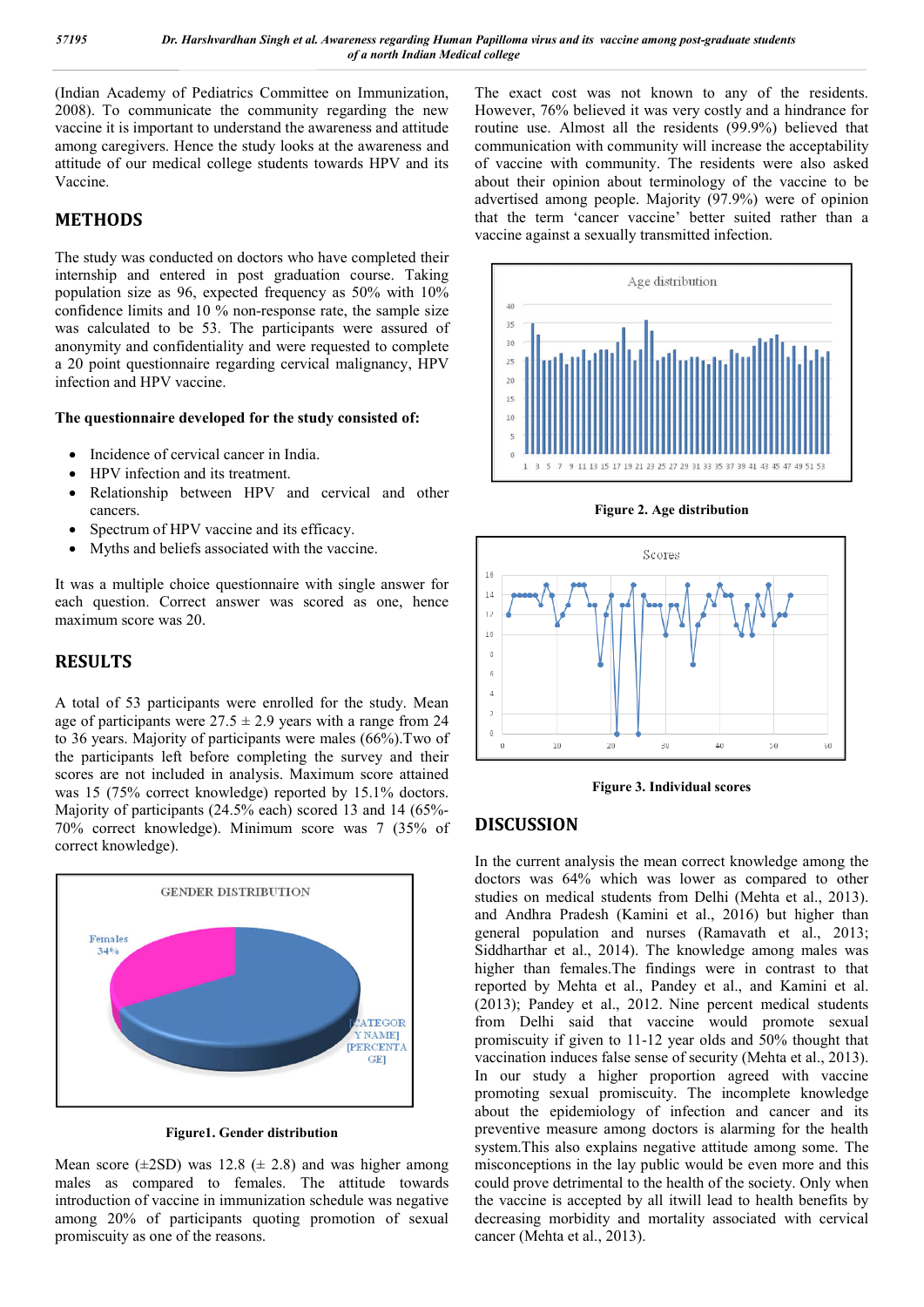(Indian Academy of Pediatrics Committee on Immunization, 2008). To communicate the community regarding the new vaccine it is important to understand the awareness and attitude among caregivers. Hence the study looks at the awareness and attitude of our medical college students towards HPV and its Vaccine.

#### **METHODS**

The study was conducted on doctors who have completed their internship and entered in post graduation course. Taking population size as 96, expected frequency as 50% with 10% confidence limits and 10 % non-response rate, the sample size was calculated to be 53. The participants were assured of anonymity and confidentiality and were requested to complete a 20 point questionnaire regarding cervical malignancy, HPV infection and HPV vaccine.

#### **The questionnaire developed for the study consisted of:**

- Incidence of cervical cancer in India.
- HPV infection and its treatment.
- Relationship between HPV and cervical and other cancers.
- Spectrum of HPV vaccine and its efficacy.
- Myths and beliefs associated with the vaccine.

It was a multiple choice questionnaire with single answer for each question. Correct answer was scored as one, hence maximum score was 20.

#### **RESULTS**

A total of 53 participants were enrolled for the study. Mean age of participants were  $27.5 \pm 2.9$  years with a range from 24 to 36 years. Majority of participants were males (66%).Two of the participants left before completing the survey and their scores are not included in analysis. Maximum score attained was 15 (75% correct knowledge) reported by 15.1% doctors. Majority of participants (24.5% each) scored 13 and 14 (65%- 70% correct knowledge). Minimum score was 7 (35% of correct knowledge).



**Figure1. Gender distribution**

Mean score  $(\pm 2SD)$  was 12.8 ( $\pm$  2.8) and was higher among males as compared to females. The attitude towards introduction of vaccine in immunization schedule was negative among 20% of participants quoting promotion of sexual promiscuity as one of the reasons.

The exact cost was not known to any of the residents. However, 76% believed it was very costly and a hindrance for routine use. Almost all the residents (99.9%) believed that communication with community will increase the acceptability of vaccine with community. The residents were also asked about their opinion about terminology of the vaccine to be advertised among people. Majority (97.9%) were of opinion that the term 'cancer vaccine' better suited rather than a vaccine against a sexually transmitted infection.



**Figure 2. Age distribution**



**Figure 3. Individual scores**

#### **DISCUSSION**

In the current analysis the mean correct knowledge among the doctors was 64% which was lower as compared to other studies on medical students from Delhi (Mehta et al., 2013). and Andhra Pradesh (Kamini et al., 2016) but higher than general population and nurses (Ramavath et al., 2013; Siddharthar et al., 2014). The knowledge among males was higher than females.The findings were in contrast to that reported by Mehta et al., Pandey et al., and Kamini et al. (2013); Pandey et al., 2012. Nine percent medical students from Delhi said that vaccine would promote sexual promiscuity if given to 11-12 year olds and 50% thought that vaccination induces false sense of security (Mehta et al., 2013). In our study a higher proportion agreed with vaccine promoting sexual promiscuity. The incomplete knowledge about the epidemiology of infection and cancer and its preventive measure among doctors is alarming for the health system.This also explains negative attitude among some. The misconceptions in the lay public would be even more and this could prove detrimental to the health of the society. Only when the vaccine is accepted by all itwill lead to health benefits by decreasing morbidity and mortality associated with cervical cancer (Mehta et al., 2013).